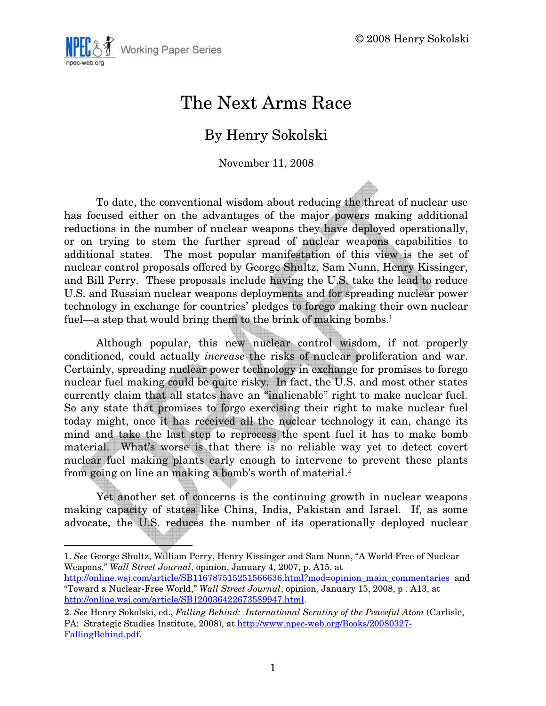

## The Next Arms Race

### By Henry Sokolski

November 11, 2008

To date, the conventional wisdom about reducing the threat of nuclear use has focused either on the advantages of the major powers making additional reductions in the number of nuclear weapons they have deployed operationally, or on trying to stem the further spread of nuclear weapons capabilities to additional states. The most popular manifestation of this view is the set of nuclear control proposals offered by George Shultz, Sam Nunn, Henry Kissinger, and Bill Perry. These proposals include having the U.S. take the lead to reduce U.S. and Russian nuclear weapons deployments and for spreading nuclear power technology in exchange for countries' pledges to forego making their own nuclear fuel—a step that would bring them to the brink of making bombs.<sup>1</sup>

Although popular, this new nuclear control wisdom, if not properly conditioned, could actually increase the risks of nuclear proliferation and war. Certainly, spreading nuclear power technology in exchange for promises to forego nuclear fuel making could be quite risky. In fact, the U.S. and most other states currently claim that all states have an "inalienable" right to make nuclear fuel. So any state that promises to forgo exercising their right to make nuclear fuel today might, once it has received all the nuclear technology it can, change its mind and take the last step to reprocess the spent fuel it has to make bomb material. What's worse is that there is no reliable way yet to detect covert nuclear fuel making plants early enough to intervene to prevent these plants from going on line an making a bomb's worth of material.<sup>2</sup>

Yet another set of concerns is the continuing growth in nuclear weapons making capacity of states like China, India, Pakistan and Israel. If, as some advocate, the U.S. reduces the number of its operationally deployed nuclear

<sup>1.</sup> See George Shultz, William Perry, Henry Kissinger and Sam Nunn, "A World Free of Nuclear Weapons," Wall Street Journal, opinion, January 4, 2007, p. A15, at

http://online.wsj.com/article/SB116787515251566636.html?mod=opinion\_main\_commentaries and "Toward a Nuclear-Free World," Wall Street Journal, opinion, January 15, 2008, p . A13, at http://online.wsj.com/article/SB120036422673589947.html.

<sup>2.</sup> See Henry Sokolski, ed., Falling Behind: International Scrutiny of the Peaceful Atom (Carlisle, PA: Strategic Studies Institute, 2008), at http://www.npec-web.org/Books/20080327- FallingBehind.pdf.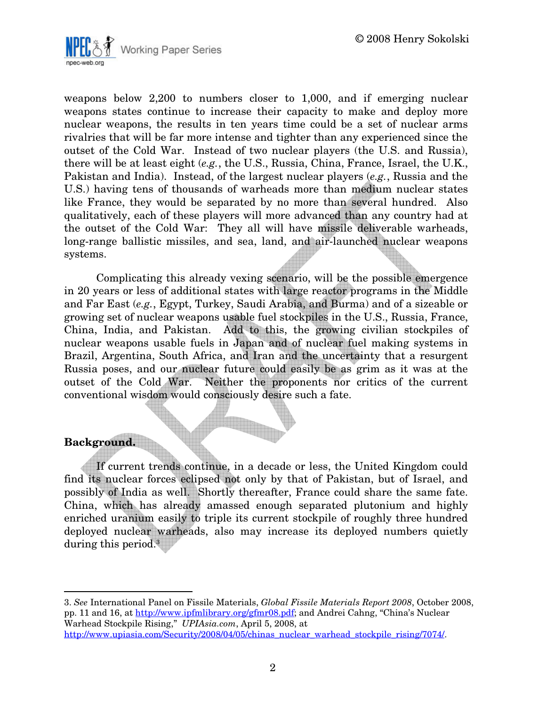

weapons below 2,200 to numbers closer to 1,000, and if emerging nuclear weapons states continue to increase their capacity to make and deploy more nuclear weapons, the results in ten years time could be a set of nuclear arms rivalries that will be far more intense and tighter than any experienced since the outset of the Cold War. Instead of two nuclear players (the U.S. and Russia), there will be at least eight (e.g., the U.S., Russia, China, France, Israel, the U.K., Pakistan and India). Instead, of the largest nuclear players (e.g., Russia and the U.S.) having tens of thousands of warheads more than medium nuclear states like France, they would be separated by no more than several hundred. Also qualitatively, each of these players will more advanced than any country had at the outset of the Cold War: They all will have missile deliverable warheads, long-range ballistic missiles, and sea, land, and air-launched nuclear weapons systems.

Complicating this already vexing scenario, will be the possible emergence in 20 years or less of additional states with large reactor programs in the Middle and Far East (e.g., Egypt, Turkey, Saudi Arabia, and Burma) and of a sizeable or growing set of nuclear weapons usable fuel stockpiles in the U.S., Russia, France, China, India, and Pakistan. Add to this, the growing civilian stockpiles of nuclear weapons usable fuels in Japan and of nuclear fuel making systems in Brazil, Argentina, South Africa, and Iran and the uncertainty that a resurgent Russia poses, and our nuclear future could easily be as grim as it was at the outset of the Cold War. Neither the proponents nor critics of the current conventional wisdom would consciously desire such a fate.

#### Background.

 $\overline{a}$ 

If current trends continue, in a decade or less, the United Kingdom could find its nuclear forces eclipsed not only by that of Pakistan, but of Israel, and possibly of India as well. Shortly thereafter, France could share the same fate. China, which has already amassed enough separated plutonium and highly enriched uranium easily to triple its current stockpile of roughly three hundred deployed nuclear warheads, also may increase its deployed numbers quietly during this period.<sup>3</sup>

<sup>3.</sup> See International Panel on Fissile Materials, Global Fissile Materials Report 2008, October 2008, pp. 11 and 16, at http://www.ipfmlibrary.org/gfmr08.pdf; and Andrei Cahng, "China's Nuclear Warhead Stockpile Rising," UPIAsia.com, April 5, 2008, at http://www.upiasia.com/Security/2008/04/05/chinas\_nuclear\_warhead\_stockpile\_rising/7074/.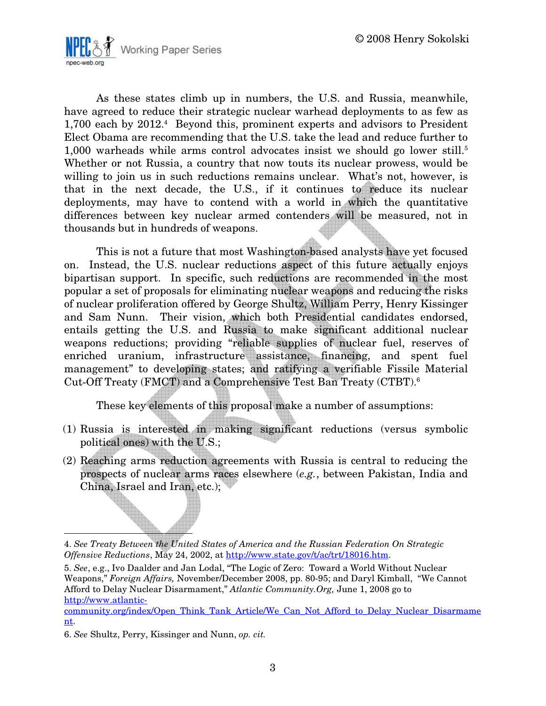

As these states climb up in numbers, the U.S. and Russia, meanwhile, have agreed to reduce their strategic nuclear warhead deployments to as few as 1,700 each by 2012.<sup>4</sup> Beyond this, prominent experts and advisors to President Elect Obama are recommending that the U.S. take the lead and reduce further to 1,000 warheads while arms control advocates insist we should go lower still.<sup>5</sup> Whether or not Russia, a country that now touts its nuclear prowess, would be willing to join us in such reductions remains unclear. What's not, however, is that in the next decade, the U.S., if it continues to reduce its nuclear deployments, may have to contend with a world in which the quantitative differences between key nuclear armed contenders will be measured, not in thousands but in hundreds of weapons.

This is not a future that most Washington-based analysts have yet focused on. Instead, the U.S. nuclear reductions aspect of this future actually enjoys bipartisan support. In specific, such reductions are recommended in the most popular a set of proposals for eliminating nuclear weapons and reducing the risks of nuclear proliferation offered by George Shultz, William Perry, Henry Kissinger and Sam Nunn. Their vision, which both Presidential candidates endorsed, entails getting the U.S. and Russia to make significant additional nuclear weapons reductions; providing "reliable supplies of nuclear fuel, reserves of enriched uranium, infrastructure assistance, financing, and spent fuel management" to developing states; and ratifying a verifiable Fissile Material Cut-Off Treaty (FMCT) and a Comprehensive Test Ban Treaty (CTBT).<sup>6</sup>

These key elements of this proposal make a number of assumptions:

- (1) Russia is interested in making significant reductions (versus symbolic political ones) with the U.S.;
- (2) Reaching arms reduction agreements with Russia is central to reducing the prospects of nuclear arms races elsewhere (e.g., between Pakistan, India and China, Israel and Iran, etc.);

 $\overline{a}$ 

<sup>4.</sup> See Treaty Between the United States of America and the Russian Federation On Strategic Offensive Reductions, May 24, 2002, at http://www.state.gov/t/ac/trt/18016.htm.

<sup>5.</sup> See, e.g., Ivo Daalder and Jan Lodal, "The Logic of Zero: Toward a World Without Nuclear Weapons," Foreign Affairs, November/December 2008, pp. 80-95; and Daryl Kimball, "We Cannot Afford to Delay Nuclear Disarmament," Atlantic Community.Org, June 1, 2008 go to http://www.atlantic-

community.org/index/Open\_Think\_Tank\_Article/We\_Can\_Not\_Afford\_to\_Delay\_Nuclear\_Disarmame nt.

<sup>6.</sup> See Shultz, Perry, Kissinger and Nunn, op. cit.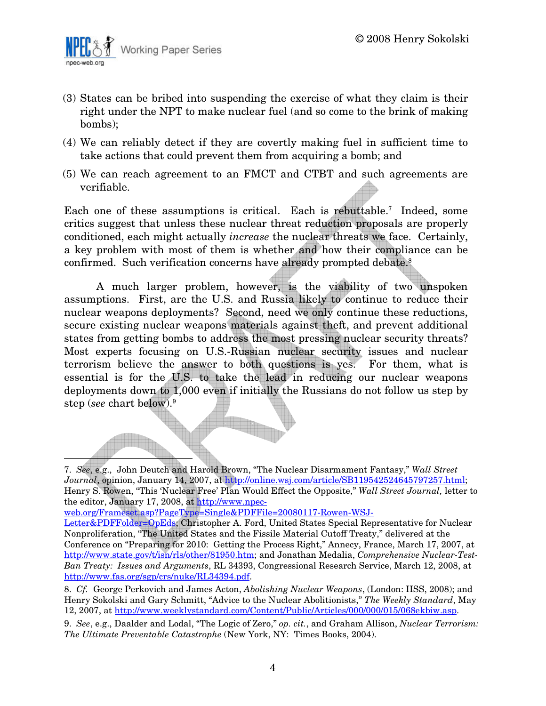

- (3) States can be bribed into suspending the exercise of what they claim is their right under the NPT to make nuclear fuel (and so come to the brink of making bombs);
- (4) We can reliably detect if they are covertly making fuel in sufficient time to take actions that could prevent them from acquiring a bomb; and
- (5) We can reach agreement to an FMCT and CTBT and such agreements are verifiable.

Each one of these assumptions is critical. Each is rebuttable.<sup>7</sup> Indeed, some critics suggest that unless these nuclear threat reduction proposals are properly conditioned, each might actually increase the nuclear threats we face. Certainly, a key problem with most of them is whether and how their compliance can be confirmed. Such verification concerns have already prompted debate.<sup>8</sup>

A much larger problem, however, is the viability of two unspoken assumptions. First, are the U.S. and Russia likely to continue to reduce their nuclear weapons deployments? Second, need we only continue these reductions, secure existing nuclear weapons materials against theft, and prevent additional states from getting bombs to address the most pressing nuclear security threats? Most experts focusing on U.S.-Russian nuclear security issues and nuclear terrorism believe the answer to both questions is yes. For them, what is essential is for the U.S. to take the lead in reducing our nuclear weapons deployments down to 1,000 even if initially the Russians do not follow us step by step (see chart below).<sup>9</sup>

、<br>高度電磁画画像の画像の<br>画像電磁画像の画像画像画像画像

<sup>7.</sup> See, e.g., John Deutch and Harold Brown, "The Nuclear Disarmament Fantasy," Wall Street Journal, opinion, January 14, 2007, at http://online.wsj.com/article/SB119542524645797257.html; Henry S. Rowen, "This 'Nuclear Free' Plan Would Effect the Opposite," Wall Street Journal, letter to the editor, January 17, 2008, at http://www.npec-

web.org/Frameset.asp?PageType=Single&PDFFile=20080117-Rowen-WSJ-

Letter&PDFFolder=OpEds; Christopher A. Ford, United States Special Representative for Nuclear Nonproliferation, "The United States and the Fissile Material Cutoff Treaty," delivered at the Conference on "Preparing for 2010: Getting the Process Right," Annecy, France, March 17, 2007, at http://www.state.gov/t/isn/rls/other/81950.htm; and Jonathan Medalia, Comprehensive Nuclear-Test-Ban Treaty: Issues and Arguments, RL 34393, Congressional Research Service, March 12, 2008, at http://www.fas.org/sgp/crs/nuke/RL34394.pdf.

<sup>8.</sup> Cf. George Perkovich and James Acton, Abolishing Nuclear Weapons, (London: IISS, 2008); and Henry Sokolski and Gary Schmitt, "Advice to the Nuclear Abolitionists," The Weekly Standard, May 12, 2007, at http://www.weeklystandard.com/Content/Public/Articles/000/000/015/068ekbiw.asp.

<sup>9.</sup> See, e.g., Daalder and Lodal, "The Logic of Zero," op. cit., and Graham Allison, Nuclear Terrorism: The Ultimate Preventable Catastrophe (New York, NY: Times Books, 2004).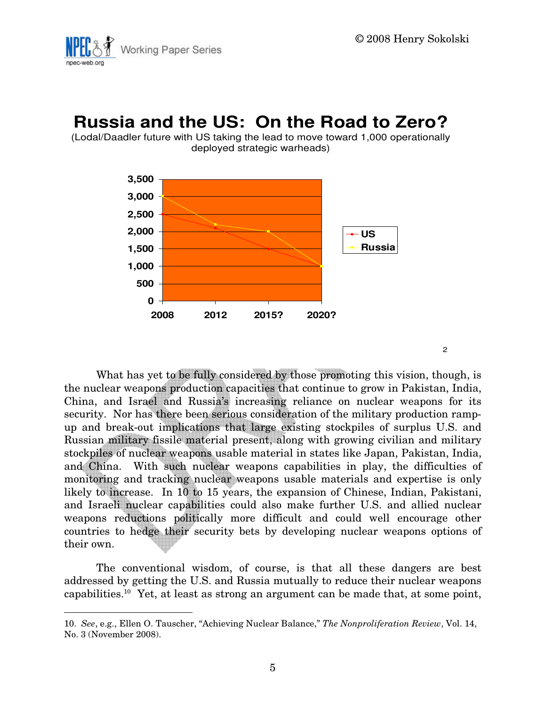

### **Russia and the US: On the Road to Zero?**

(Lodal/Daadler future with US taking the lead to move toward 1,000 operationally deployed strategic warheads)



2

What has yet to be fully considered by those promoting this vision, though, is the nuclear weapons production capacities that continue to grow in Pakistan, India, China, and Israel and Russia's increasing reliance on nuclear weapons for its security. Nor has there been serious consideration of the military production rampup and break-out implications that large existing stockpiles of surplus U.S. and Russian military fissile material present, along with growing civilian and military stockpiles of nuclear weapons usable material in states like Japan, Pakistan, India, and China. With such nuclear weapons capabilities in play, the difficulties of monitoring and tracking nuclear weapons usable materials and expertise is only likely to increase. In 10 to 15 years, the expansion of Chinese, Indian, Pakistani, and Israeli nuclear capabilities could also make further U.S. and allied nuclear weapons reductions politically more difficult and could well encourage other countries to hedge their security bets by developing nuclear weapons options of their own.

The conventional wisdom, of course, is that all these dangers are best addressed by getting the U.S. and Russia mutually to reduce their nuclear weapons capabilities.<sup>10</sup> Yet, at least as strong an argument can be made that, at some point,

<sup>10.</sup> See, e.g., Ellen O. Tauscher, "Achieving Nuclear Balance," The Nonproliferation Review, Vol. 14, No. 3 (November 2008).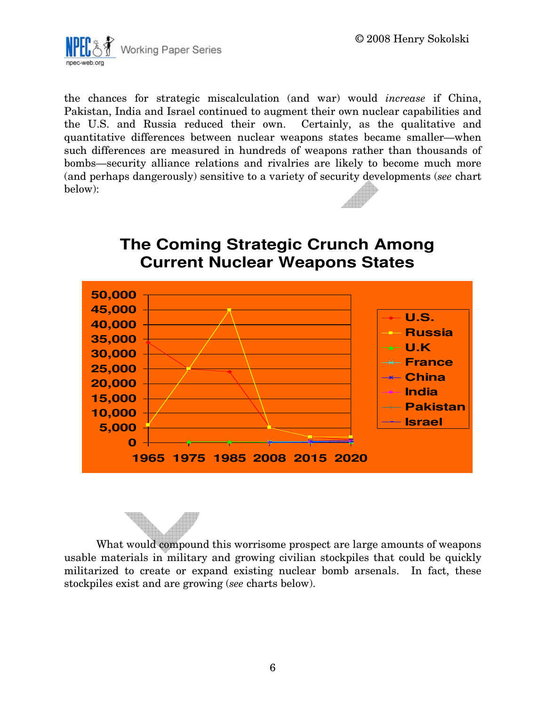

the chances for strategic miscalculation (and war) would increase if China, Pakistan, India and Israel continued to augment their own nuclear capabilities and the U.S. and Russia reduced their own. Certainly, as the qualitative and quantitative differences between nuclear weapons states became smaller—when such differences are measured in hundreds of weapons rather than thousands of bombs—security alliance relations and rivalries are likely to become much more (and perhaps dangerously) sensitive to a variety of security developments (see chart below):



# **The Coming Strategic Crunch Among**

What would compound this worrisome prospect are large amounts of weapons usable materials in military and growing civilian stockpiles that could be quickly militarized to create or expand existing nuclear bomb arsenals. In fact, these stockpiles exist and are growing (see charts below).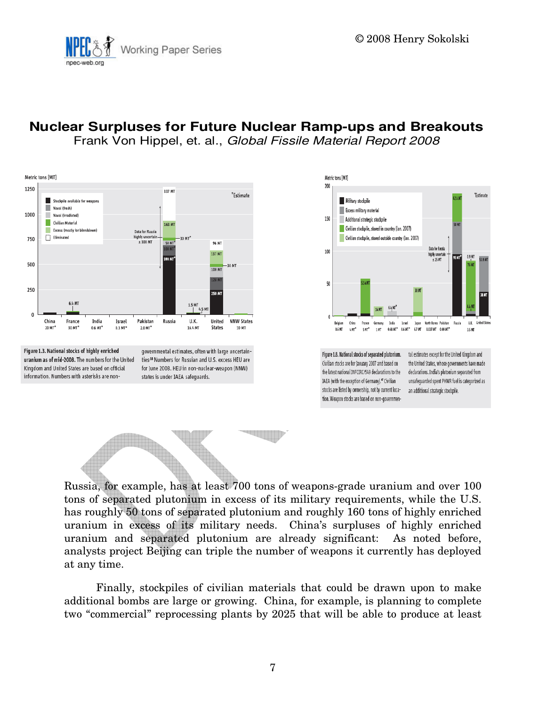

### **Nuclear Surpluses for Future Nuclear Ramp-ups and Breakouts**

Frank Von Hippel, et. al., Global Fissile Material Report 2008



Figure 1.3. National stocks of highly enriched uranium as of mid-2008. The numbers for the United Kingdom and United States are based on official information. Numbers with asterisks are non-

governmental estimates, often with large uncertainties:<sup>18</sup> Numbers for Russian and U.S. excess HEU are for June 2008. HEU in non-nuclear-weapon (NNW) states is under IAEA safeguards.





Russia, for example, has at least 700 tons of weapons-grade uranium and over 100 tons of separated plutonium in excess of its military requirements, while the U.S. has roughly 50 tons of separated plutonium and roughly 160 tons of highly enriched uranium in excess of its military needs. China's surpluses of highly enriched uranium and separated plutonium are already significant: As noted before, analysts project Beijing can triple the number of weapons it currently has deployed at any time.

Finally, stockpiles of civilian materials that could be drawn upon to make additional bombs are large or growing. China, for example, is planning to complete two "commercial" reprocessing plants by 2025 that will be able to produce at least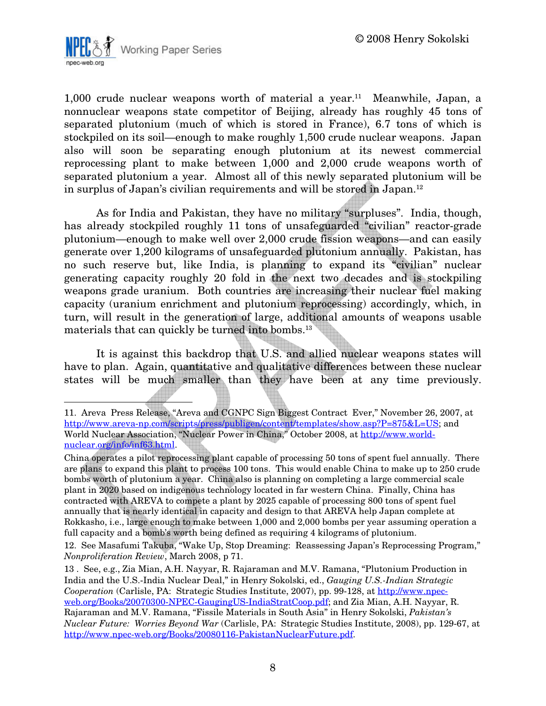

1,000 crude nuclear weapons worth of material a year.<sup>11</sup> Meanwhile, Japan, a nonnuclear weapons state competitor of Beijing, already has roughly 45 tons of separated plutonium (much of which is stored in France), 6.7 tons of which is stockpiled on its soil—enough to make roughly 1,500 crude nuclear weapons. Japan also will soon be separating enough plutonium at its newest commercial reprocessing plant to make between 1,000 and 2,000 crude weapons worth of separated plutonium a year. Almost all of this newly separated plutonium will be in surplus of Japan's civilian requirements and will be stored in Japan.<sup>12</sup>

As for India and Pakistan, they have no military "surpluses". India, though, has already stockpiled roughly 11 tons of unsafeguarded "civilian" reactor-grade plutonium—enough to make well over 2,000 crude fission weapons—and can easily generate over 1,200 kilograms of unsafeguarded plutonium annually. Pakistan, has no such reserve but, like India, is planning to expand its "civilian" nuclear generating capacity roughly 20 fold in the next two decades and is stockpiling weapons grade uranium. Both countries are increasing their nuclear fuel making capacity (uranium enrichment and plutonium reprocessing) accordingly, which, in turn, will result in the generation of large, additional amounts of weapons usable materials that can quickly be turned into bombs.<sup>13</sup>

It is against this backdrop that U.S. and allied nuclear weapons states will have to plan. Again, quantitative and qualitative differences between these nuclear states will be much smaller than they have been at any time previously.

<sup>11.</sup> Areva Press Release, "Areva and CGNPC Sign Biggest Contract Ever," November 26, 2007, at http://www.areva-np.com/scripts/press/publigen/content/templates/show.asp?P=875&L=US; and World Nuclear Association, "Nuclear Power in China," October 2008, at http://www.worldnuclear.org/info/inf63.html.

China operates a pilot reprocessing plant capable of processing 50 tons of spent fuel annually. There are plans to expand this plant to process 100 tons. This would enable China to make up to 250 crude bombs worth of plutonium a year. China also is planning on completing a large commercial scale plant in 2020 based on indigenous technology located in far western China. Finally, China has contracted with AREVA to compete a plant by 2025 capable of processing 800 tons of spent fuel annually that is nearly identical in capacity and design to that AREVA help Japan complete at Rokkasho, i.e., large enough to make between 1,000 and 2,000 bombs per year assuming operation a full capacity and a bomb's worth being defined as requiring 4 kilograms of plutonium.

<sup>12.</sup> See Masafumi Takuba, "Wake Up, Stop Dreaming: Reassessing Japan's Reprocessing Program," Nonproliferation Review, March 2008, p 71.

<sup>13 .</sup> See, e.g., Zia Mian, A.H. Nayyar, R. Rajaraman and M.V. Ramana, "Plutonium Production in India and the U.S.-India Nuclear Deal," in Henry Sokolski, ed., Gauging U.S.-Indian Strategic Cooperation (Carlisle, PA: Strategic Studies Institute, 2007), pp. 99-128, at http://www.npecweb.org/Books/20070300-NPEC-GaugingUS-IndiaStratCoop.pdf; and Zia Mian, A.H. Nayyar, R. Rajaraman and M.V. Ramana, "Fissile Materials in South Asia" in Henry Sokolski, Pakistan's Nuclear Future: Worries Beyond War (Carlisle, PA: Strategic Studies Institute, 2008), pp. 129-67, at http://www.npec-web.org/Books/20080116-PakistanNuclearFuture.pdf.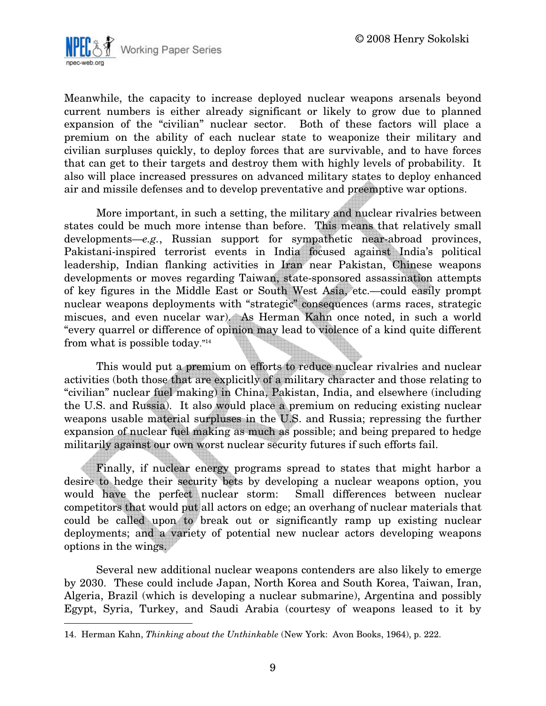

Meanwhile, the capacity to increase deployed nuclear weapons arsenals beyond current numbers is either already significant or likely to grow due to planned expansion of the "civilian" nuclear sector. Both of these factors will place a premium on the ability of each nuclear state to weaponize their military and civilian surpluses quickly, to deploy forces that are survivable, and to have forces that can get to their targets and destroy them with highly levels of probability. It also will place increased pressures on advanced military states to deploy enhanced air and missile defenses and to develop preventative and preemptive war options.

More important, in such a setting, the military and nuclear rivalries between states could be much more intense than before. This means that relatively small developments—e.g., Russian support for sympathetic near-abroad provinces, Pakistani-inspired terrorist events in India focused against India's political leadership, Indian flanking activities in Iran near Pakistan, Chinese weapons developments or moves regarding Taiwan, state-sponsored assassination attempts of key figures in the Middle East or South West Asia, etc.—could easily prompt nuclear weapons deployments with "strategic" consequences (arms races, strategic miscues, and even nucelar war). As Herman Kahn once noted, in such a world "every quarrel or difference of opinion may lead to violence of a kind quite different from what is possible today."<sup>14</sup>

This would put a premium on efforts to reduce nuclear rivalries and nuclear activities (both those that are explicitly of a military character and those relating to "civilian" nuclear fuel making) in China, Pakistan, India, and elsewhere (including the U.S. and Russia). It also would place a premium on reducing existing nuclear weapons usable material surpluses in the U.S. and Russia; repressing the further expansion of nuclear fuel making as much as possible; and being prepared to hedge militarily against our own worst nuclear security futures if such efforts fail.

Finally, if nuclear energy programs spread to states that might harbor a desire to hedge their security bets by developing a nuclear weapons option, you would have the perfect nuclear storm: Small differences between nuclear competitors that would put all actors on edge; an overhang of nuclear materials that could be called upon to break out or significantly ramp up existing nuclear deployments; and a variety of potential new nuclear actors developing weapons options in the wings.

Several new additional nuclear weapons contenders are also likely to emerge by 2030. These could include Japan, North Korea and South Korea, Taiwan, Iran, Algeria, Brazil (which is developing a nuclear submarine), Argentina and possibly Egypt, Syria, Turkey, and Saudi Arabia (courtesy of weapons leased to it by

 $\overline{a}$ 

<sup>14.</sup> Herman Kahn, Thinking about the Unthinkable (New York: Avon Books, 1964), p. 222.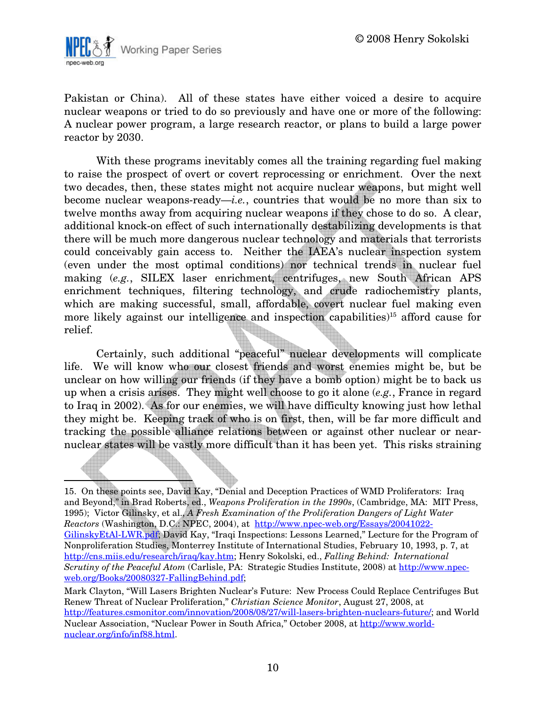

Pakistan or China). All of these states have either voiced a desire to acquire nuclear weapons or tried to do so previously and have one or more of the following: A nuclear power program, a large research reactor, or plans to build a large power reactor by 2030.

With these programs inevitably comes all the training regarding fuel making to raise the prospect of overt or covert reprocessing or enrichment. Over the next two decades, then, these states might not acquire nuclear weapons, but might well become nuclear weapons-ready—*i.e.*, countries that would be no more than six to twelve months away from acquiring nuclear weapons if they chose to do so. A clear, additional knock-on effect of such internationally destabilizing developments is that there will be much more dangerous nuclear technology and materials that terrorists could conceivably gain access to. Neither the IAEA's nuclear inspection system (even under the most optimal conditions) nor technical trends in nuclear fuel making (e.g., SILEX laser enrichment, centrifuges, new South African APS enrichment techniques, filtering technology, and crude radiochemistry plants, which are making successful, small, affordable, covert nuclear fuel making even more likely against our intelligence and inspection capabilities)<sup>15</sup> afford cause for relief.

Certainly, such additional "peaceful" nuclear developments will complicate life. We will know who our closest friends and worst enemies might be, but be unclear on how willing our friends (if they have a bomb option) might be to back us up when a crisis arises. They might well choose to go it alone (e.g., France in regard to Iraq in 2002). As for our enemies, we will have difficulty knowing just how lethal they might be. Keeping track of who is on first, then, will be far more difficult and tracking the possible alliance relations between or against other nuclear or nearnuclear states will be vastly more difficult than it has been yet. This risks straining

15. On these points see, David Kay, "Denial and Deception Practices of WMD Proliferators: Iraq and Beyond," in Brad Roberts, ed., Weapons Proliferation in the 1990s, (Cambridge, MA: MIT Press, 1995); Victor Gilinsky, et al., A Fresh Examination of the Proliferation Dangers of Light Water Reactors (Washington, D.C.: NPEC, 2004), at http://www.npec-web.org/Essays/20041022- GilinskyEtAl-LWR.pdf; David Kay, "Iraqi Inspections: Lessons Learned," Lecture for the Program of Nonproliferation Studies, Monterrey Institute of International Studies, February 10, 1993, p. 7, at http://cns.miis.edu/research/iraq/kay.htm; Henry Sokolski, ed., Falling Behind: International Scrutiny of the Peaceful Atom (Carlisle, PA: Strategic Studies Institute, 2008) at http://www.npecweb.org/Books/20080327-FallingBehind.pdf;

Mark Clayton, "Will Lasers Brighten Nuclear's Future: New Process Could Replace Centrifuges But Renew Threat of Nuclear Proliferation," Christian Science Monitor, August 27, 2008, at http://features.csmonitor.com/innovation/2008/08/27/will-lasers-brighten-nuclears-future/; and World Nuclear Association, "Nuclear Power in South Africa," October 2008, at http://www.worldnuclear.org/info/inf88.html.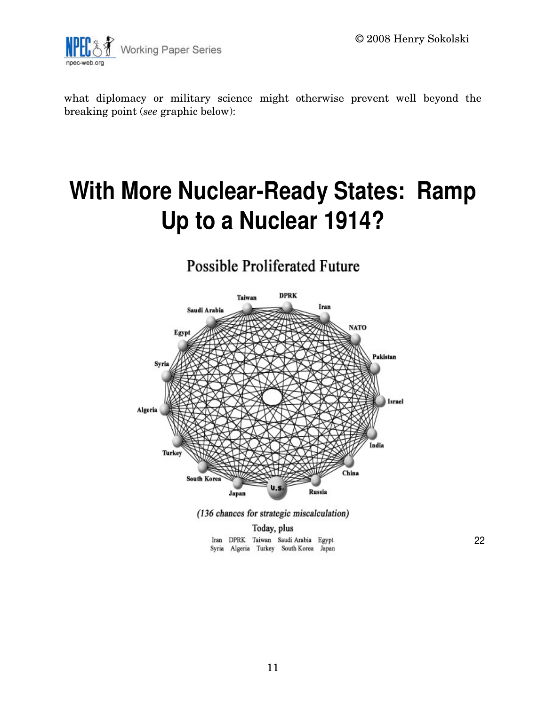

what diplomacy or military science might otherwise prevent well beyond the breaking point (see graphic below):

## **With More Nuclear-Ready States: Ramp Up to a Nuclear 1914?**

### **Possible Proliferated Future**



(136 chances for strategic miscalculation)

Today, plus Iran DPRK Taiwan Saudi Arabia Egypt Syria Algeria Turkey South Korea Japan

22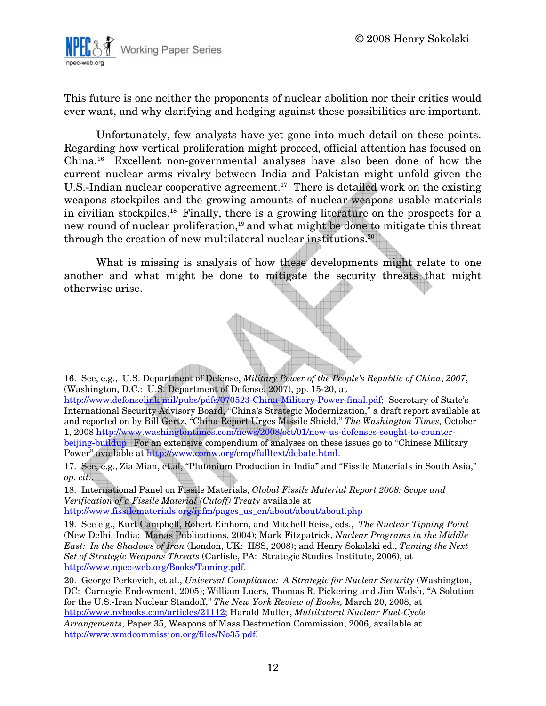

This future is one neither the proponents of nuclear abolition nor their critics would ever want, and why clarifying and hedging against these possibilities are important.

Unfortunately, few analysts have yet gone into much detail on these points. Regarding how vertical proliferation might proceed, official attention has focused on China.<sup>16</sup> Excellent non-governmental analyses have also been done of how the current nuclear arms rivalry between India and Pakistan might unfold given the U.S.-Indian nuclear cooperative agreement.<sup>17</sup> There is detailed work on the existing weapons stockpiles and the growing amounts of nuclear weapons usable materials in civilian stockpiles.<sup>18</sup> Finally, there is a growing literature on the prospects for a new round of nuclear proliferation,<sup>19</sup> and what might be done to mitigate this threat through the creation of new multilateral nuclear institutions.<sup>20</sup>

What is missing is analysis of how these developments might relate to one another and what might be done to mitigate the security threats that might otherwise arise.

<sup>16.</sup> See, e.g., U.S. Department of Defense, Military Power of the People's Republic of China, 2007, (Washington, D.C.: U.S. Department of Defense, 2007), pp. 15-20, at

http://www.defenselink.mil/pubs/pdfs/070523-China-Military-Power-final.pdf; Secretary of State's International Security Advisory Board, "China's Strategic Modernization," a draft report available at and reported on by Bill Gertz, "China Report Urges Missile Shield," The Washington Times, October 1, 2008 http://www.washingtontimes.com/news/2008/oct/01/new-us-defenses-sought-to-counterbeijing-buildup. For an extensive compendium of analyses on these issues go to "Chinese Military Power" available at http://www.comw.org/cmp/fulltext/debate.html.

<sup>17.</sup> See, e.g., Zia Mian, et.al, "Plutonium Production in India" and "Fissile Materials in South Asia," op. cit..

<sup>18.</sup> International Panel on Fissile Materials, Global Fissile Material Report 2008: Scope and Verification of a Fissile Material (Cutoff) Treaty available at http://www.fissilematerials.org/ipfm/pages\_us\_en/about/about/about.php

<sup>19.</sup> See e.g., Kurt Campbell, Robert Einhorn, and Mitchell Reiss, eds., The Nuclear Tipping Point (New Delhi, India: Manas Publications, 2004); Mark Fitzpatrick, Nuclear Programs in the Middle East: In the Shadows of Iran (London, UK: IISS, 2008); and Henry Sokolski ed., Taming the Next Set of Strategic Weapons Threats (Carlisle, PA: Strategic Studies Institute, 2006), at http://www.npec-web.org/Books/Taming.pdf.

<sup>20.</sup> George Perkovich, et al., Universal Compliance: A Strategic for Nuclear Security (Washington, DC: Carnegie Endowment, 2005); William Luers, Thomas R. Pickering and Jim Walsh, "A Solution for the U.S.-Iran Nuclear Standoff," The New York Review of Books, March 20, 2008, at http://www.nybooks.com/articles/21112; Harald Muller, Multilateral Nuclear Fuel-Cycle Arrangements, Paper 35, Weapons of Mass Destruction Commission, 2006, available at http://www.wmdcommission.org/files/No35.pdf.